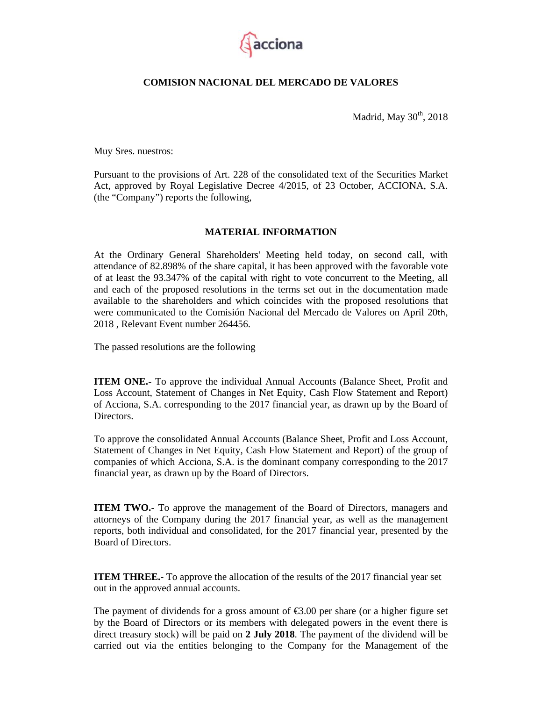

## **COMISION NACIONAL DEL MERCADO DE VALORES**

Madrid, May  $30<sup>th</sup>$ , 2018

Muy Sres. nuestros:

Pursuant to the provisions of Art. 228 of the consolidated text of the Securities Market Act, approved by Royal Legislative Decree 4/2015, of 23 October, ACCIONA, S.A. (the "Company") reports the following,

### **MATERIAL INFORMATION**

At the Ordinary General Shareholders' Meeting held today, on second call, with attendance of 82.898% of the share capital, it has been approved with the favorable vote of at least the 93.347% of the capital with right to vote concurrent to the Meeting, all and each of the proposed resolutions in the terms set out in the documentation made available to the shareholders and which coincides with the proposed resolutions that were communicated to the Comisión Nacional del Mercado de Valores on April 20th, 2018 , Relevant Event number 264456.

The passed resolutions are the following

**ITEM ONE.-** To approve the individual Annual Accounts (Balance Sheet, Profit and Loss Account, Statement of Changes in Net Equity, Cash Flow Statement and Report) of Acciona, S.A. corresponding to the 2017 financial year, as drawn up by the Board of Directors.

To approve the consolidated Annual Accounts (Balance Sheet, Profit and Loss Account, Statement of Changes in Net Equity, Cash Flow Statement and Report) of the group of companies of which Acciona, S.A. is the dominant company corresponding to the 2017 financial year, as drawn up by the Board of Directors.

**ITEM TWO.-** To approve the management of the Board of Directors, managers and attorneys of the Company during the 2017 financial year, as well as the management reports, both individual and consolidated, for the 2017 financial year, presented by the Board of Directors.

**ITEM THREE.** To approve the allocation of the results of the 2017 financial year set out in the approved annual accounts.

The payment of dividends for a gross amount of  $\epsilon$ 3.00 per share (or a higher figure set by the Board of Directors or its members with delegated powers in the event there is direct treasury stock) will be paid on **2 July 2018**. The payment of the dividend will be carried out via the entities belonging to the Company for the Management of the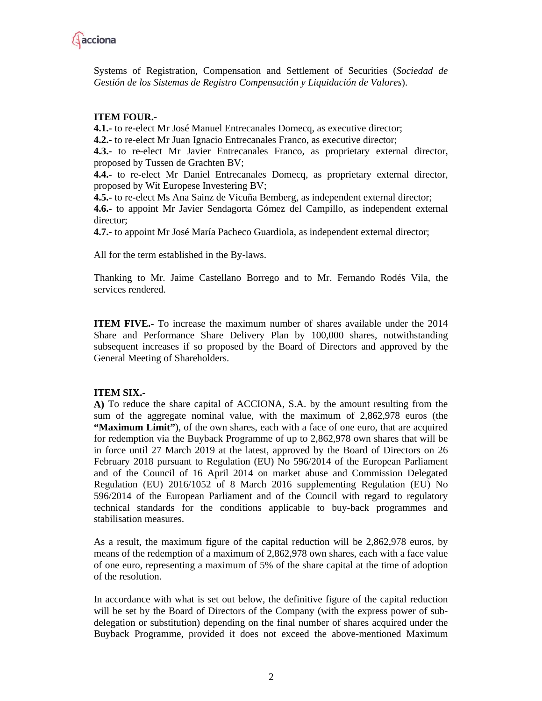

Systems of Registration, Compensation and Settlement of Securities (*Sociedad de Gestión de los Sistemas de Registro Compensación y Liquidación de Valores*).

#### **ITEM FOUR.-**

**4.1.-** to re-elect Mr José Manuel Entrecanales Domecq, as executive director;

**4.2.-** to re-elect Mr Juan Ignacio Entrecanales Franco, as executive director;

**4.3.-** to re-elect Mr Javier Entrecanales Franco, as proprietary external director, proposed by Tussen de Grachten BV;

**4.4.-** to re-elect Mr Daniel Entrecanales Domecq, as proprietary external director, proposed by Wit Europese Investering BV;

**4.5.-** to re-elect Ms Ana Sainz de Vicuña Bemberg, as independent external director;

**4.6.-** to appoint Mr Javier Sendagorta Gómez del Campillo, as independent external director;

**4.7.-** to appoint Mr José María Pacheco Guardiola, as independent external director;

All for the term established in the By-laws.

Thanking to Mr. Jaime Castellano Borrego and to Mr. Fernando Rodés Vila, the services rendered.

**ITEM FIVE.-** To increase the maximum number of shares available under the 2014 Share and Performance Share Delivery Plan by 100,000 shares, notwithstanding subsequent increases if so proposed by the Board of Directors and approved by the General Meeting of Shareholders.

#### **ITEM SIX.-**

**A)** To reduce the share capital of ACCIONA, S.A. by the amount resulting from the sum of the aggregate nominal value, with the maximum of 2,862,978 euros (the **"Maximum Limit"**), of the own shares, each with a face of one euro, that are acquired for redemption via the Buyback Programme of up to 2,862,978 own shares that will be in force until 27 March 2019 at the latest, approved by the Board of Directors on 26 February 2018 pursuant to Regulation (EU) No 596/2014 of the European Parliament and of the Council of 16 April 2014 on market abuse and Commission Delegated Regulation (EU) 2016/1052 of 8 March 2016 supplementing Regulation (EU) No 596/2014 of the European Parliament and of the Council with regard to regulatory technical standards for the conditions applicable to buy-back programmes and stabilisation measures.

As a result, the maximum figure of the capital reduction will be 2,862,978 euros, by means of the redemption of a maximum of 2,862,978 own shares, each with a face value of one euro, representing a maximum of 5% of the share capital at the time of adoption of the resolution.

In accordance with what is set out below, the definitive figure of the capital reduction will be set by the Board of Directors of the Company (with the express power of subdelegation or substitution) depending on the final number of shares acquired under the Buyback Programme, provided it does not exceed the above-mentioned Maximum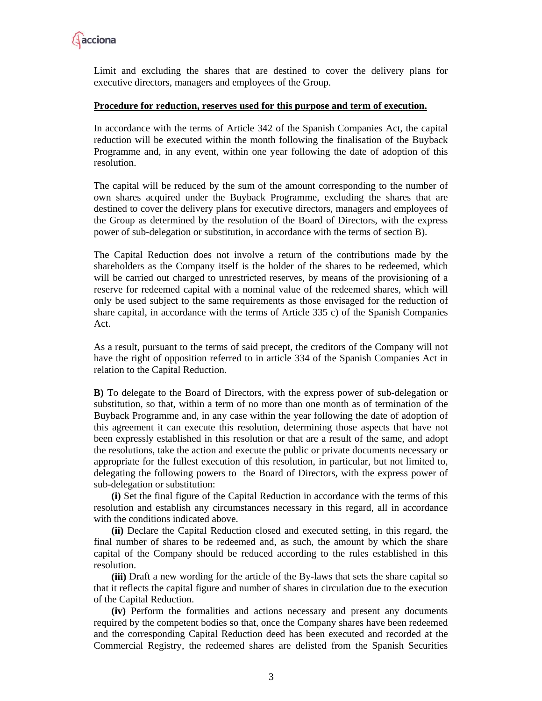

Limit and excluding the shares that are destined to cover the delivery plans for executive directors, managers and employees of the Group.

#### **Procedure for reduction, reserves used for this purpose and term of execution.**

In accordance with the terms of Article 342 of the Spanish Companies Act, the capital reduction will be executed within the month following the finalisation of the Buyback Programme and, in any event, within one year following the date of adoption of this resolution.

The capital will be reduced by the sum of the amount corresponding to the number of own shares acquired under the Buyback Programme, excluding the shares that are destined to cover the delivery plans for executive directors, managers and employees of the Group as determined by the resolution of the Board of Directors, with the express power of sub-delegation or substitution, in accordance with the terms of section B).

The Capital Reduction does not involve a return of the contributions made by the shareholders as the Company itself is the holder of the shares to be redeemed, which will be carried out charged to unrestricted reserves, by means of the provisioning of a reserve for redeemed capital with a nominal value of the redeemed shares, which will only be used subject to the same requirements as those envisaged for the reduction of share capital, in accordance with the terms of Article 335 c) of the Spanish Companies Act.

As a result, pursuant to the terms of said precept, the creditors of the Company will not have the right of opposition referred to in article 334 of the Spanish Companies Act in relation to the Capital Reduction.

**B)** To delegate to the Board of Directors, with the express power of sub-delegation or substitution, so that, within a term of no more than one month as of termination of the Buyback Programme and, in any case within the year following the date of adoption of this agreement it can execute this resolution, determining those aspects that have not been expressly established in this resolution or that are a result of the same, and adopt the resolutions, take the action and execute the public or private documents necessary or appropriate for the fullest execution of this resolution, in particular, but not limited to, delegating the following powers to the Board of Directors, with the express power of sub-delegation or substitution:

**(i)** Set the final figure of the Capital Reduction in accordance with the terms of this resolution and establish any circumstances necessary in this regard, all in accordance with the conditions indicated above.

**(ii)** Declare the Capital Reduction closed and executed setting, in this regard, the final number of shares to be redeemed and, as such, the amount by which the share capital of the Company should be reduced according to the rules established in this resolution.

**(iii)** Draft a new wording for the article of the By-laws that sets the share capital so that it reflects the capital figure and number of shares in circulation due to the execution of the Capital Reduction.

**(iv)** Perform the formalities and actions necessary and present any documents required by the competent bodies so that, once the Company shares have been redeemed and the corresponding Capital Reduction deed has been executed and recorded at the Commercial Registry, the redeemed shares are delisted from the Spanish Securities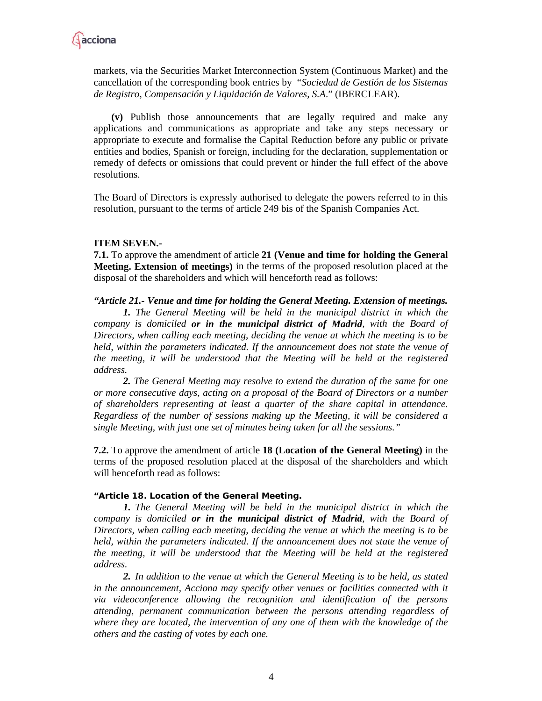markets, via the Securities Market Interconnection System (Continuous Market) and the cancellation of the corresponding book entries by "*Sociedad de Gestión de los Sistemas de Registro, Compensación y Liquidación de Valores, S.A*." (IBERCLEAR).

**(v)** Publish those announcements that are legally required and make any applications and communications as appropriate and take any steps necessary or appropriate to execute and formalise the Capital Reduction before any public or private entities and bodies, Spanish or foreign, including for the declaration, supplementation or remedy of defects or omissions that could prevent or hinder the full effect of the above resolutions.

The Board of Directors is expressly authorised to delegate the powers referred to in this resolution, pursuant to the terms of article 249 bis of the Spanish Companies Act.

#### **ITEM SEVEN.-**

**7.1.** To approve the amendment of article **21 (Venue and time for holding the General Meeting. Extension of meetings)** in the terms of the proposed resolution placed at the disposal of the shareholders and which will henceforth read as follows:

#### *"Article 21.- Venue and time for holding the General Meeting. Extension of meetings.*

*1. The General Meeting will be held in the municipal district in which the company is domiciled or in the municipal district of Madrid, with the Board of Directors, when calling each meeting, deciding the venue at which the meeting is to be held, within the parameters indicated. If the announcement does not state the venue of the meeting, it will be understood that the Meeting will be held at the registered address.* 

*2. The General Meeting may resolve to extend the duration of the same for one or more consecutive days, acting on a proposal of the Board of Directors or a number of shareholders representing at least a quarter of the share capital in attendance. Regardless of the number of sessions making up the Meeting, it will be considered a single Meeting, with just one set of minutes being taken for all the sessions."* 

**7.2.** To approve the amendment of article **18 (Location of the General Meeting)** in the terms of the proposed resolution placed at the disposal of the shareholders and which will henceforth read as follows:

#### *"Article 18. Location of the General Meeting.*

*1. The General Meeting will be held in the municipal district in which the company is domiciled or in the municipal district of Madrid, with the Board of Directors, when calling each meeting, deciding the venue at which the meeting is to be held, within the parameters indicated. If the announcement does not state the venue of the meeting, it will be understood that the Meeting will be held at the registered address.* 

*2. In addition to the venue at which the General Meeting is to be held, as stated in the announcement, Acciona may specify other venues or facilities connected with it via videoconference allowing the recognition and identification of the persons attending, permanent communication between the persons attending regardless of where they are located, the intervention of any one of them with the knowledge of the others and the casting of votes by each one.*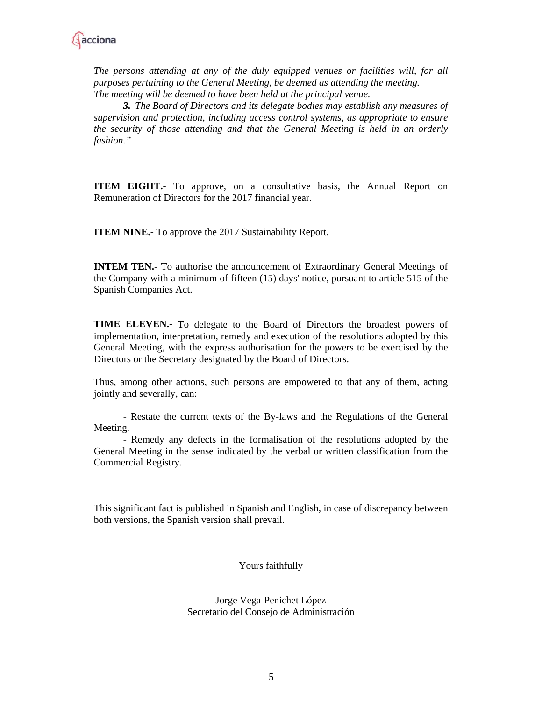

*The persons attending at any of the duly equipped venues or facilities will, for all purposes pertaining to the General Meeting, be deemed as attending the meeting. The meeting will be deemed to have been held at the principal venue.* 

*3. The Board of Directors and its delegate bodies may establish any measures of supervision and protection, including access control systems, as appropriate to ensure the security of those attending and that the General Meeting is held in an orderly fashion."*

**ITEM EIGHT.-** To approve, on a consultative basis, the Annual Report on Remuneration of Directors for the 2017 financial year.

**ITEM NINE.-** To approve the 2017 Sustainability Report.

**INTEM TEN.-** To authorise the announcement of Extraordinary General Meetings of the Company with a minimum of fifteen (15) days' notice, pursuant to article 515 of the Spanish Companies Act.

**TIME ELEVEN.-** To delegate to the Board of Directors the broadest powers of implementation, interpretation, remedy and execution of the resolutions adopted by this General Meeting, with the express authorisation for the powers to be exercised by the Directors or the Secretary designated by the Board of Directors.

Thus, among other actions, such persons are empowered to that any of them, acting jointly and severally, can:

- Restate the current texts of the By-laws and the Regulations of the General Meeting.

- Remedy any defects in the formalisation of the resolutions adopted by the General Meeting in the sense indicated by the verbal or written classification from the Commercial Registry.

This significant fact is published in Spanish and English, in case of discrepancy between both versions, the Spanish version shall prevail.

Yours faithfully

Jorge Vega-Penichet López Secretario del Consejo de Administración